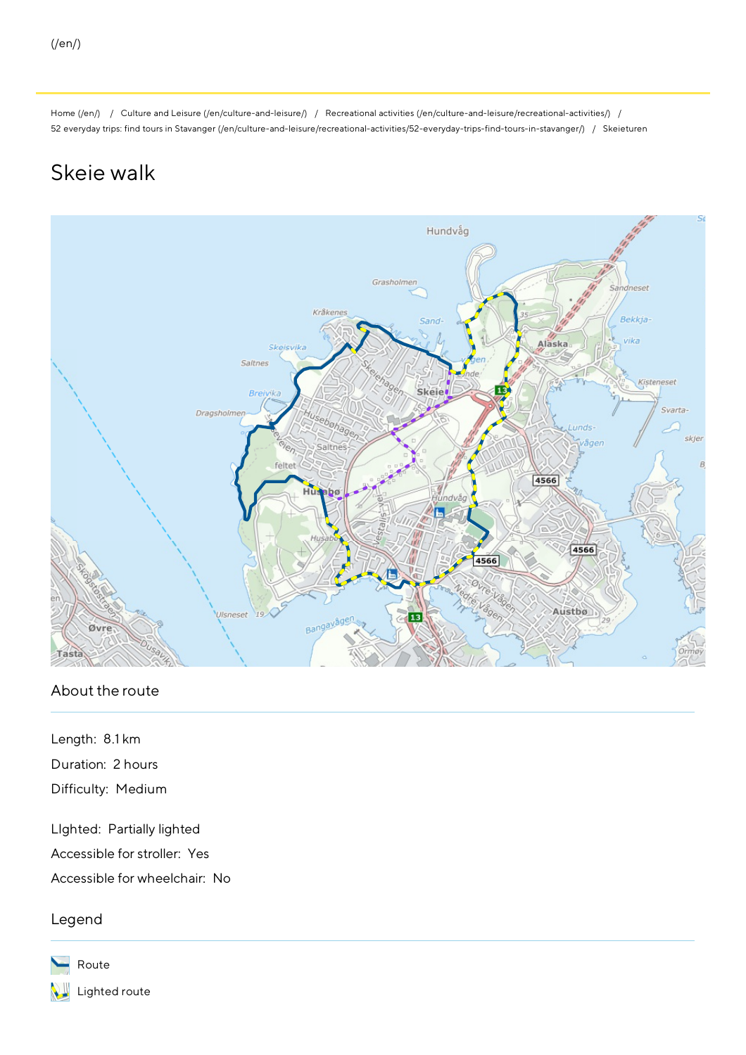[Home](http://www.stavanger.kommune.no:8083/en/) (/en/) / Culture and Leisure [\(/en/culture-and-leisure/\)](http://www.stavanger.kommune.no:8083/en/culture-and-leisure/) / Recreational activities [\(/en/culture-and-leisure/recreational-activities/\)](http://www.stavanger.kommune.no:8083/en/culture-and-leisure/recreational-activities/) / 52 everyday trips: find tours in Stavanger [\(/en/culture-and-leisure/recreational-activities/52-everyday-trips-find-tours-in-stavanger/\)](http://www.stavanger.kommune.no:8083/en/culture-and-leisure/recreational-activities/52-everyday-trips-find-tours-in-stavanger/) / Skeieturen

## Skeie walk



## About the route

Length: 8.1km Duration: 2 hours Difficulty: Medium

LIghted: Partially lighted Accessible for stroller: Yes Accessible for wheelchair: No

Legend

Route Lighted route